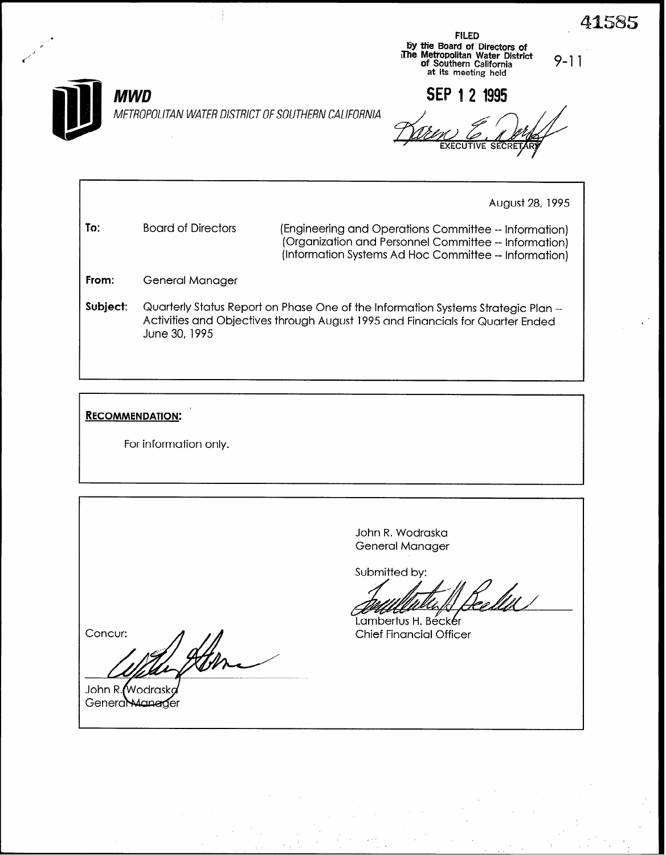$\mathcal{L}$  FILED FILED / 6Y ttie Board of Directors of The Metropolitan Water District (1990)<br>The Metropolitan Water District (1990)<br>at its meeting held

SEP 1 2 1995

**MWD** 

,

METROPOLITAN WATER DISTRICT OF SOUTHERN CALIFORNIA

August 28, 1995

To: Board of Directors (Engineering and Operations Committee -- Information) (Organization and Personnel Committee -- Information) (Information Systems Ad Hoc Committee -- Information)

From: General Manager

Subject: Quarterly Status Report on Phase One of the Information Systems Strategic Plan --Activities and Objectives through August 1995 and Financials for Quarter Ended June 30, 1995

## **RECOMMENDATION:**

For information only.

John R. Wodraska General Manager

Submitted by:

!<br>a Mil

Lambertus H. Becker **Chief Financial Officer** 

Concur:

John R. Wodrask General Manager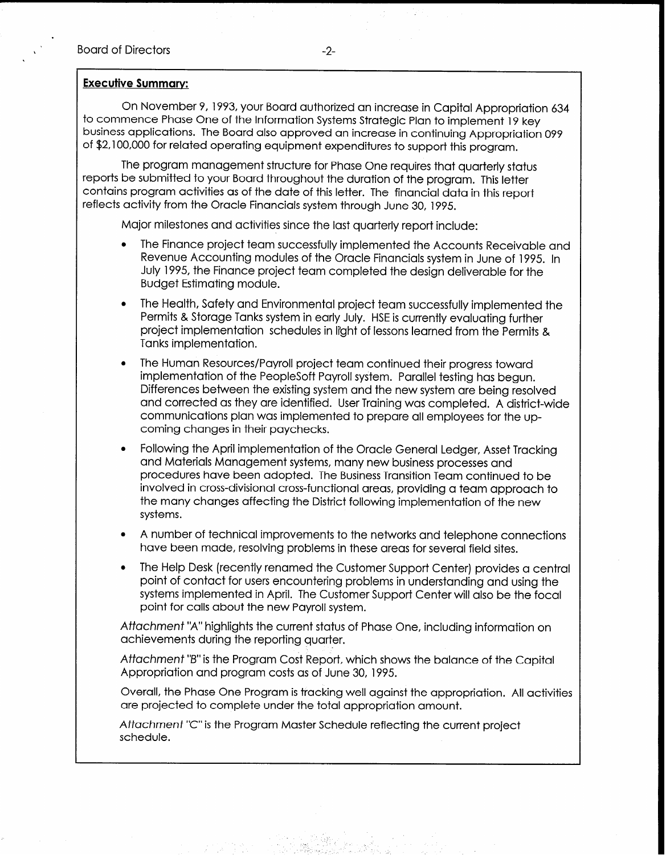On November 9, 1993, your Board authorized an increase in Capital Appropriation 634 to commence Phase One of the Information Systems Strategic Plan to implement 19 key business applications. The Board also approved an increase in continuing Appropriation 099 of \$2,100,000 for related operating equipment expenditures to support this program.

The program management structure for Phase One requires that quarterly status reports be submitted to your Board throughout the duration of the program. This letter contains program activities as of the date of this letter. The financial data in this report reflects activity from the Oracle Financials system through June 30, 1995.

Major milestones and activities since the last quarterly report include:

- The Finance project team successfully implemented the Accounts Receivable and Revenue Accounting modules of the Oracle Financials system in June of 1995. In July 1995, the Finance project team completed the design deliverable for the Budget Estimating module.
- The Health, Safety and Environmental project team successfully implemented the Permits & Storage Tanks system in early July. HSE is currently evaluating further project implementation schedules in li'ght of lessons learned from the Permits & Tanks implementation.
- The Human Resources/Payroll project team continued their progress toward implementation of the PeopleSoft Payroll system. Parallel testing has begun. Differences between the existing system and the new system are being resolved and corrected as they are identified. User Training was completed. A district-wide communications plan was implemented to prepare all employees for the upcoming changes in their paychecks.
- <sup>l</sup>Following the April implementation of the Oracle General Ledger, Asset Tracking and Materials Management systems, many new business processes and procedures have been adopted. The Business Transition Team continued to be involved in cross-divisional cross-functional areas, providing a team approach to the many changes affecting the District following implementation of the new systems.
- <sup>l</sup>A number of technical improvements to the networks and telephone connections have been made, resolving problems in these areas for several field sites.
- The Help Desk (recently renamed the Customer Support Center) provides a central point of contact for users encountering problems in understanding and using the systems implemented in April. The Customer Support Center will also be the focal point for calls about the new Payroll system.

Attachment "A" highlights the current status of Phase One, including information on achievements during the reporting quarter.

Aftachment "B" is the Program Cost Report, which shows the balance of the Capital Appropriation and program costs as of June 30, 1995.

Overall, the Phase One Program is tracking well against the appropriation. All activities are projected to complete under the total appropriation amount.

Attachment "C" is the Program Master Schedule reflecting the current project schedule.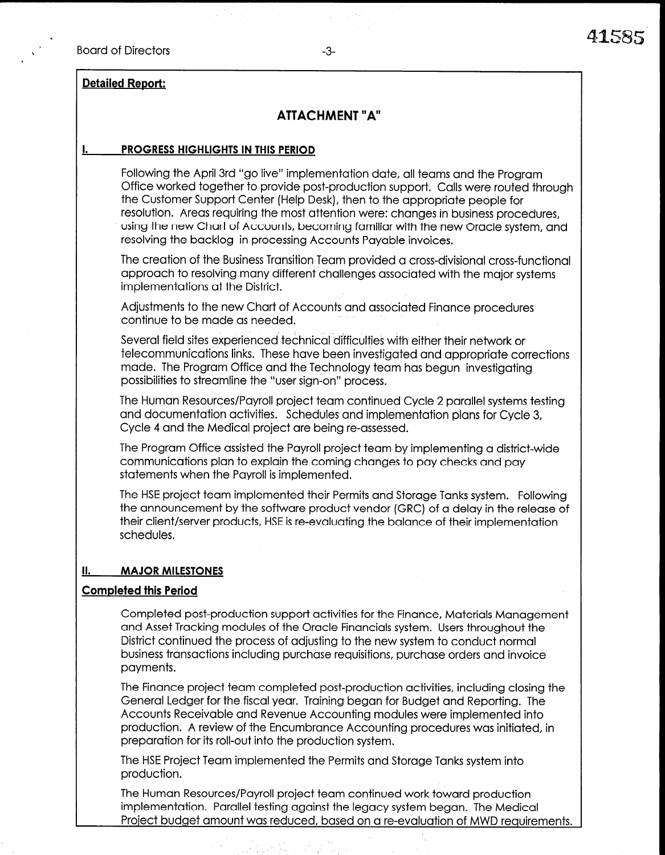.

## Detailed Report:

# ATTACHMENT "A"

#### I. PROGRESS HIGHLIGHTS IN THIS PERIOD

Following the April 3rd "go live" implementation date, all teams and the Program Office worked together to provide post-production support. Calls were routed through the Customer Support Center (Help Desk), then to the appropriate people for resolution. Areas requiring the most attention were: changes in business procedures, using the new Chart of Accounts, becoming familiar with the new Oracle system, and resolving the backlog in processing Accounts Payable invoices.

The creation of the Business Transition Team provided a cross-divisional cross-functional approach to resolving many different challenges associated with the major systems implementations at the District.

Adjustments to the new Chart of Accounts and associated Finance procedures continue to be made as needed.

Several field sites experienced technical difficulties with either their network or telecommunications links. These have been investigated and appropriate corrections made. The Program Office and the Technology team has begun investigating possibilities to streamline the "user sign-on" process.

The Human Resources/Payroll project team continued Cycle 2 parallel systems testing and documentation activities. Schedules and implementation plans for Cycle 3, Cycle 4 and the Medical project are being re-assessed.

The Program Office assisted the Payroll project team by implementing a district-wide communications plan to explain the coming changes to pay checks and pay statements when the Payroll is implemented.

The HSE project team implemented their Permits and Storage Tanks system. Following  $T$ the not project fourth implementation in clinics and storage funks system. The rewriting the announcement by the software product vendor (GRC) of a delay in the release of<br>their client/server products, HSE is re-evaluating the balance of their implementation schedules.

#### II. MAJOR MILESTONES

#### Completed this Period

 $C_{\rm eff}$  completed post-production support activities for the Finance,  $M_{\rm eff}$  and  $M_{\rm eff}$ Completed post-production support detivities for the Finance, materials manager and Asset Tracking modules of the Oracle Financials system. Users throughout the District continued the process of adjusting to the new system to conduct normal business transactions including purchase requisitions, purchase orders and invoice payments. The Finance project team completed post-production activities, including closing the completed post-production activities, including the complete  $\mathcal{L}$ 

The Finance project team completed post-production activities, including closing the General Ledger for the fiscal year. Training began for Budget and Reporting. The Accounts Receivable and Revenue Accounting modules were implemented into production. A review of the Encumbrance Accounting procedures was initiated, in  $T_{\rm F}$  is the minimum implemented the Permits and Storage Tanks system in the Permits system into  $T_{\rm F}$ 

The HSE Project Team implemented the Permits and Storage Tanks system into The Human Resources/Payroll project team continued work toward project team continued work toward production pro

The Human Resources/Payroll project team continued work toward production implementation. Parallel testing against the legacy system began. The Medical Project budget amount was reduced, based on a re-evaluation of MWD reaujrements.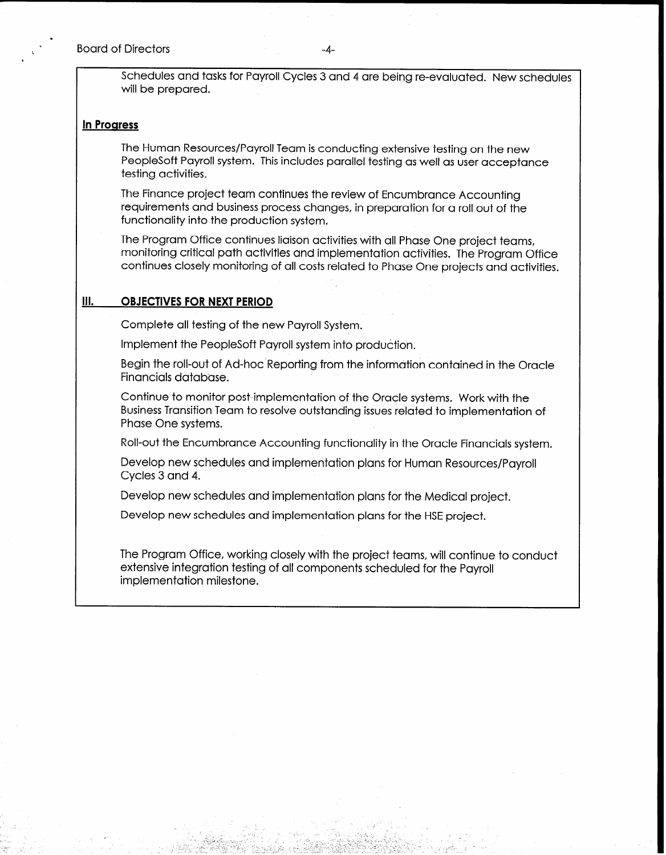i,

Schedules and tasks for Payroll Cycles 3 and 4 are being re-evaluated. New schedules will be prepared.

#### In Progress

The Human Resources/Payroll Team is conducting extensive testing on the new PeopleSoft Payroll system. This includes parallel testing as well as user acceptance testing activities.

The Finance project team continues the review of Encumbrance Accounting requirements and business process changes, in preparation for a roll out of the functionality into the production system.

The Program Office continues liaison activities with all Phase One project teams, monitoring critical path activities and implementation activities. The Program Office continues closely monitoring of all costs related to Phase One projects and activities.

#### Ill. OBJECTIVES FOR NEXT PERIOD

Complete all testing of the new Payroll System.

Implement the PeopleSoft Payroll system into production.

Begin the roll-out of Ad-hoc Reporting from the information contained in the Oracle Financials database.

Continue to monitor post-implementation of the Oracle systems. Work with the Business Transition Team to resolve outstanding issues related to implementation of Phase One systems.

Roll-out the Encumbrance Accounting functionality in the Oracle Financials system.

Develop new schedules and implementation plans for Human Resources/Payroll Cycles 3 and 4.

Develop new schedules and implementation plans for the Medical project.

Develop new schedules and implementation plans for the HSE project.

The Program Office, working closely with the project teams, will continue to conduct extensive integration testing of all components scheduled for the Payroll implementation milestone.

> $\cdot$   $\cdot$ .- .\_ " ',

, \_ ;-. , . , :

.' \_ :  $\sim$  0.4  $\sim$  1.5  $\sim$  -

:,- -  $-$ 

, -